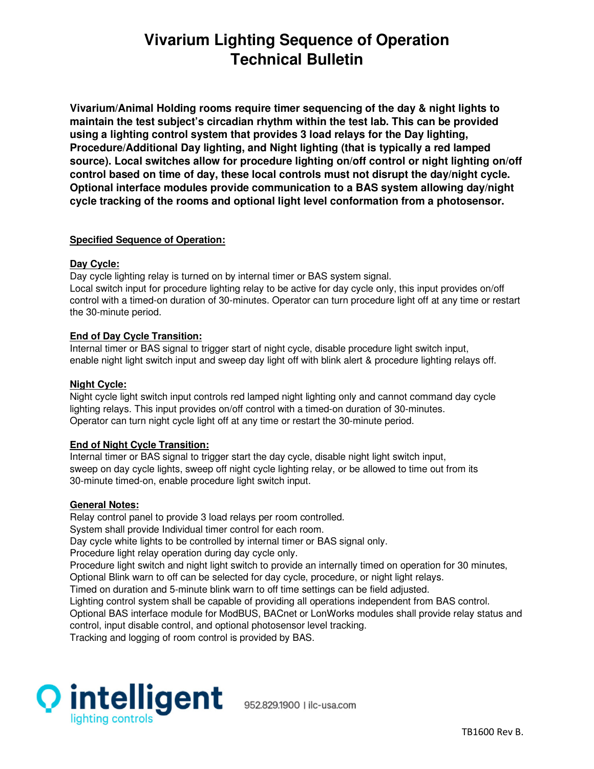# **Vivarium Lighting Sequence of Operation Technical Bulletin**

**Vivarium/Animal Holding rooms require timer sequencing of the day & night lights to maintain the test subject's circadian rhythm within the test lab. This can be provided using a lighting control system that provides 3 load relays for the Day lighting, Procedure/Additional Day lighting, and Night lighting (that is typically a red lamped source). Local switches allow for procedure lighting on/off control or night lighting on/off control based on time of day, these local controls must not disrupt the day/night cycle. Optional interface modules provide communication to a BAS system allowing day/night cycle tracking of the rooms and optional light level conformation from a photosensor.** 

## **Specified Sequence of Operation:**

## **Day Cycle:**

Day cycle lighting relay is turned on by internal timer or BAS system signal.

Local switch input for procedure lighting relay to be active for day cycle only, this input provides on/off control with a timed-on duration of 30-minutes. Operator can turn procedure light off at any time or restart the 30-minute period.

## **End of Day Cycle Transition:**

Internal timer or BAS signal to trigger start of night cycle, disable procedure light switch input, enable night light switch input and sweep day light off with blink alert & procedure lighting relays off.

#### **Night Cycle:**

Night cycle light switch input controls red lamped night lighting only and cannot command day cycle lighting relays. This input provides on/off control with a timed-on duration of 30-minutes. Operator can turn night cycle light off at any time or restart the 30-minute period.

#### **End of Night Cycle Transition:**

Internal timer or BAS signal to trigger start the day cycle, disable night light switch input, sweep on day cycle lights, sweep off night cycle lighting relay, or be allowed to time out from its 30-minute timed-on, enable procedure light switch input.

#### **General Notes:**

Relay control panel to provide 3 load relays per room controlled. System shall provide Individual timer control for each room. Day cycle white lights to be controlled by internal timer or BAS signal only. Procedure light relay operation during day cycle only. Procedure light switch and night light switch to provide an internally timed on operation for 30 minutes, Optional Blink warn to off can be selected for day cycle, procedure, or night light relays. Timed on duration and 5-minute blink warn to off time settings can be field adjusted. Lighting control system shall be capable of providing all operations independent from BAS control. Optional BAS interface module for ModBUS, BACnet or LonWorks modules shall provide relay status and

control, input disable control, and optional photosensor level tracking.

Tracking and logging of room control is provided by BAS.